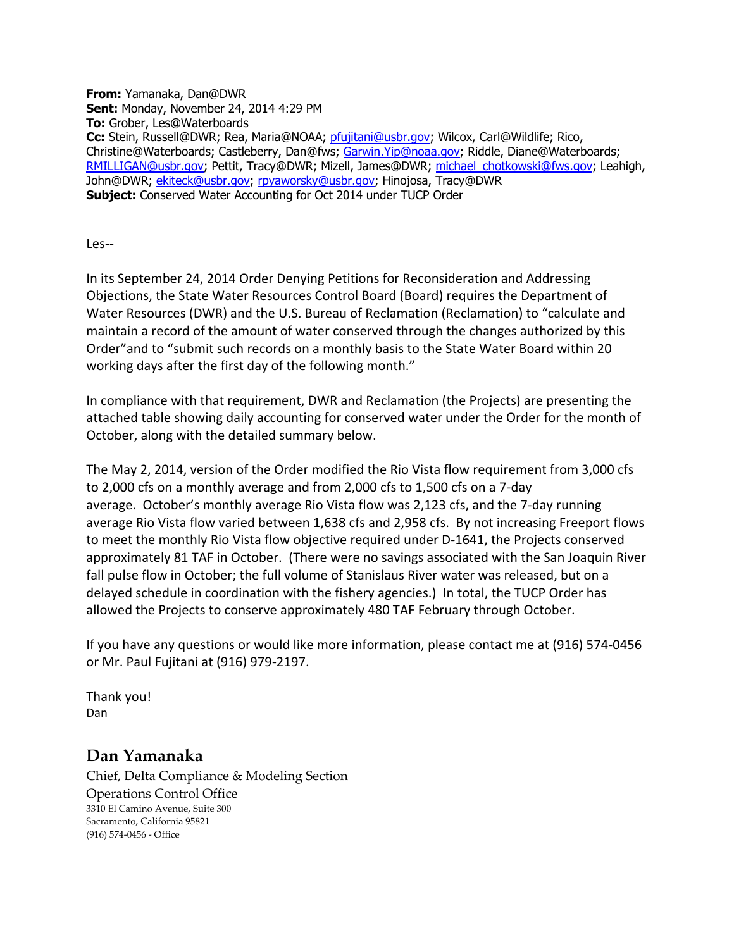**From:** Yamanaka, Dan@DWR **Sent:** Monday, November 24, 2014 4:29 PM **To:** Grober, Les@Waterboards **Cc:** Stein, Russell@DWR; Rea, Maria@NOAA; [pfujitani@usbr.gov;](mailto:pfujitani@usbr.gov) Wilcox, Carl@Wildlife; Rico, Christine@Waterboards; Castleberry, Dan@fws; [Garwin.Yip@noaa.gov;](mailto:Garwin.Yip@noaa.gov) Riddle, Diane@Waterboards; [RMILLIGAN@usbr.gov;](mailto:RMILLIGAN@usbr.gov) Pettit, Tracy@DWR; Mizell, James@DWR; [michael\\_chotkowski@fws.gov;](mailto:michael_chotkowski@fws.gov) Leahigh, John@DWR; [ekiteck@usbr.gov;](mailto:ekiteck@usbr.gov) [rpyaworsky@usbr.gov;](mailto:rpyaworsky@usbr.gov) Hinojosa, Tracy@DWR **Subject:** Conserved Water Accounting for Oct 2014 under TUCP Order

Les--

In its September 24, 2014 Order Denying Petitions for Reconsideration and Addressing Objections, the State Water Resources Control Board (Board) requires the Department of Water Resources (DWR) and the U.S. Bureau of Reclamation (Reclamation) to "calculate and maintain a record of the amount of water conserved through the changes authorized by this Order"and to "submit such records on a monthly basis to the State Water Board within 20 working days after the first day of the following month."

In compliance with that requirement, DWR and Reclamation (the Projects) are presenting the attached table showing daily accounting for conserved water under the Order for the month of October, along with the detailed summary below.

The May 2, 2014, version of the Order modified the Rio Vista flow requirement from 3,000 cfs to 2,000 cfs on a monthly average and from 2,000 cfs to 1,500 cfs on a 7-day average. October's monthly average Rio Vista flow was 2,123 cfs, and the 7-day running average Rio Vista flow varied between 1,638 cfs and 2,958 cfs. By not increasing Freeport flows to meet the monthly Rio Vista flow objective required under D-1641, the Projects conserved approximately 81 TAF in October. (There were no savings associated with the San Joaquin River fall pulse flow in October; the full volume of Stanislaus River water was released, but on a delayed schedule in coordination with the fishery agencies.) In total, the TUCP Order has allowed the Projects to conserve approximately 480 TAF February through October.

If you have any questions or would like more information, please contact me at (916) 574-0456 or Mr. Paul Fujitani at (916) 979-2197.

Thank you! Dan

## **Dan Yamanaka**

Chief, Delta Compliance & Modeling Section Operations Control Office 3310 El Camino Avenue, Suite 300 Sacramento, California 95821 (916) 574-0456 - Office